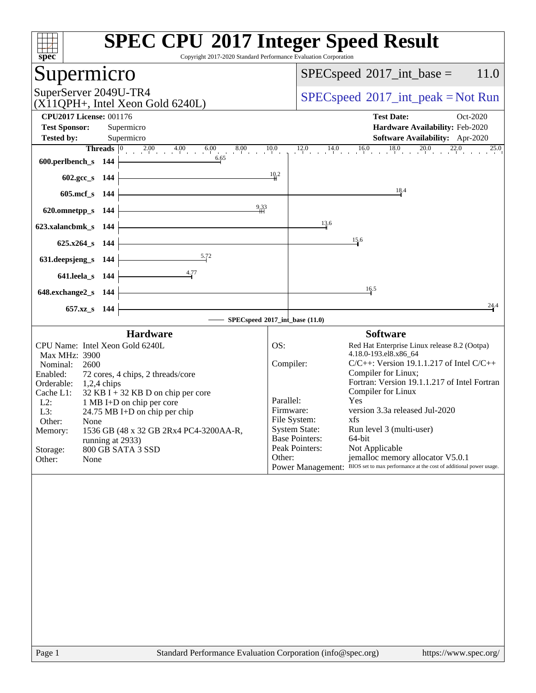| $spec^*$                                                                                | Copyright 2017-2020 Standard Performance Evaluation Corporation | <b>SPEC CPU®2017 Integer Speed Result</b>                                                      |          |
|-----------------------------------------------------------------------------------------|-----------------------------------------------------------------|------------------------------------------------------------------------------------------------|----------|
| Supermicro                                                                              |                                                                 | $SPEC speed^{\circ}2017\_int\_base =$                                                          | 11.0     |
| SuperServer 2049U-TR4<br>$(X11QPH+$ , Intel Xeon Gold 6240L)                            | $SPEC speed^{\circ}2017\_int\_peak = Not Run$                   |                                                                                                |          |
| <b>CPU2017 License: 001176</b>                                                          |                                                                 | <b>Test Date:</b>                                                                              | Oct-2020 |
| <b>Test Sponsor:</b><br>Supermicro                                                      |                                                                 | Hardware Availability: Feb-2020                                                                |          |
| <b>Tested by:</b><br>Supermicro                                                         |                                                                 | <b>Software Availability:</b> Apr-2020                                                         |          |
| <b>Threads</b> $\begin{array}{ccc} 0 & 2.00 & 4.00 & 6.00 \\ 1 & 0 & 0 & 0 \end{array}$ | 8.00<br>10.0                                                    | $12.0$ $14.0$ $16.0$ $18.0$ $20.0$ $22.0$                                                      | 25.0     |
| 600.perlbench_s 144                                                                     | 6.65                                                            |                                                                                                |          |
| 602.gcc_s 144                                                                           | 10.2                                                            |                                                                                                |          |
| 605.mcf s 144                                                                           |                                                                 | 18.4                                                                                           |          |
| 620.omnetpp_s 144                                                                       | $^{9.33}$                                                       |                                                                                                |          |
| 623.xalancbmk_s 144                                                                     |                                                                 | 13.6                                                                                           |          |
| $625.x264$ <sub>S</sub> 144                                                             |                                                                 | 15.6                                                                                           |          |
| 631.deepsjeng_s 144                                                                     | $\frac{5.72}{5.72}$                                             |                                                                                                |          |
| <u>4.77</u><br>641.leela_s 144                                                          |                                                                 |                                                                                                |          |
| 648.exchange2_s 144                                                                     |                                                                 | 16.5                                                                                           |          |
| 657.xz <sub>_8</sub> 144                                                                |                                                                 |                                                                                                | 24.4     |
|                                                                                         | SPECspeed®2017_int_base (11.0)                                  |                                                                                                |          |
| <b>Hardware</b>                                                                         |                                                                 | <b>Software</b>                                                                                |          |
| CPU Name: Intel Xeon Gold 6240L                                                         | OS:                                                             | Red Hat Enterprise Linux release 8.2 (Ootpa)                                                   |          |
| Max MHz: 3900                                                                           |                                                                 | 4.18.0-193.el8.x86_64                                                                          |          |
| Nominal:<br>2600                                                                        | Compiler:                                                       | $C/C++$ : Version 19.1.1.217 of Intel $C/C++$                                                  |          |
| Enabled:<br>72 cores, 4 chips, 2 threads/core                                           |                                                                 | Compiler for Linux;<br>Fortran: Version 19.1.1.217 of Intel Fortran                            |          |
| Orderable:<br>$1,2,4$ chips<br>Cache L1:<br>$32$ KB I + 32 KB D on chip per core        |                                                                 | Compiler for Linux                                                                             |          |
| L2:<br>1 MB I+D on chip per core                                                        | Parallel:                                                       | Yes                                                                                            |          |
| L3:<br>24.75 MB I+D on chip per chip                                                    | Firmware:                                                       | version 3.3a released Jul-2020                                                                 |          |
| Other:<br>None                                                                          |                                                                 | File System:<br>xfs                                                                            |          |
| 1536 GB (48 x 32 GB 2Rx4 PC4-3200AA-R,<br>Memory:                                       |                                                                 | <b>System State:</b><br>Run level 3 (multi-user)<br><b>Base Pointers:</b><br>64-bit            |          |
| running at 2933)<br>Storage:<br>800 GB SATA 3 SSD                                       |                                                                 | Not Applicable<br>Peak Pointers:                                                               |          |
| Other:<br>None                                                                          | Other:                                                          | jemalloc memory allocator V5.0.1                                                               |          |
|                                                                                         |                                                                 | BIOS set to max performance at the cost of additional power usage.<br><b>Power Management:</b> |          |
|                                                                                         |                                                                 |                                                                                                |          |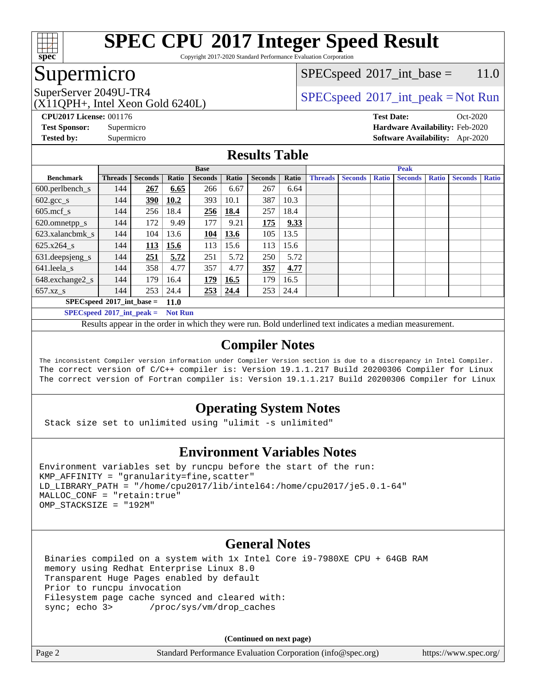

Copyright 2017-2020 Standard Performance Evaluation Corporation

### Supermicro

### $SPEC speed^{\circ}2017\_int\_base = 11.0$

(X11QPH+, Intel Xeon Gold 6240L)

SuperServer 2049U-TR4  $SPEC speed^{\circ}2017\_int\_peak = Not Run$ 

**[CPU2017 License:](http://www.spec.org/auto/cpu2017/Docs/result-fields.html#CPU2017License)** 001176 **[Test Date:](http://www.spec.org/auto/cpu2017/Docs/result-fields.html#TestDate)** Oct-2020 **[Test Sponsor:](http://www.spec.org/auto/cpu2017/Docs/result-fields.html#TestSponsor)** Supermicro **[Hardware Availability:](http://www.spec.org/auto/cpu2017/Docs/result-fields.html#HardwareAvailability)** Feb-2020 **[Tested by:](http://www.spec.org/auto/cpu2017/Docs/result-fields.html#Testedby)** Supermicro **[Software Availability:](http://www.spec.org/auto/cpu2017/Docs/result-fields.html#SoftwareAvailability)** Apr-2020

### **[Results Table](http://www.spec.org/auto/cpu2017/Docs/result-fields.html#ResultsTable)**

|                                            | <b>Base</b>    |                |       |                |             | <b>Peak</b>    |       |                |                |              |                |              |                |              |
|--------------------------------------------|----------------|----------------|-------|----------------|-------------|----------------|-------|----------------|----------------|--------------|----------------|--------------|----------------|--------------|
| <b>Benchmark</b>                           | <b>Threads</b> | <b>Seconds</b> | Ratio | <b>Seconds</b> | Ratio       | <b>Seconds</b> | Ratio | <b>Threads</b> | <b>Seconds</b> | <b>Ratio</b> | <b>Seconds</b> | <b>Ratio</b> | <b>Seconds</b> | <b>Ratio</b> |
| $600.$ perlbench_s                         | 144            | 267            | 6.65  | 266            | 6.67        | 267            | 6.64  |                |                |              |                |              |                |              |
| $602 \text{.} \text{gcc}\text{_<}$ s       | 144            | 390            | 10.2  | 393            | 10.1        | 387            | 10.3  |                |                |              |                |              |                |              |
| $605$ .mcf s                               | 144            | 256            | 18.4  | 256            | <b>18.4</b> | 257            | 18.4  |                |                |              |                |              |                |              |
| 620.omnetpp_s                              | 144            | 172            | 9.49  | 177            | 9.21        | 175            | 9.33  |                |                |              |                |              |                |              |
| 623.xalancbmk s                            | 144            | 104            | 13.6  | 104            | 13.6        | 105            | 13.5  |                |                |              |                |              |                |              |
| $625.x264$ s                               | 144            | 113            | 15.6  | 113            | 15.6        | 113            | 15.6  |                |                |              |                |              |                |              |
| 631.deepsjeng_s                            | 144            | 251            | 5.72  | 251            | 5.72        | 250            | 5.72  |                |                |              |                |              |                |              |
| 641.leela s                                | 144            | 358            | 4.77  | 357            | 4.77        | 357            | 4.77  |                |                |              |                |              |                |              |
| 648.exchange2_s                            | 144            | 179            | 16.4  | 179            | 16.5        | 179            | 16.5  |                |                |              |                |              |                |              |
| $657.xz$ s                                 | 144            | 253            | 24.4  | 253            | 24.4        | 253            | 24.4  |                |                |              |                |              |                |              |
| $SPECspeed*2017$ int base =<br><b>11.0</b> |                |                |       |                |             |                |       |                |                |              |                |              |                |              |

**[SPECspeed](http://www.spec.org/auto/cpu2017/Docs/result-fields.html#SPECspeed2017intpeak)[2017\\_int\\_peak =](http://www.spec.org/auto/cpu2017/Docs/result-fields.html#SPECspeed2017intpeak) Not Run**

Results appear in the [order in which they were run.](http://www.spec.org/auto/cpu2017/Docs/result-fields.html#RunOrder) Bold underlined text [indicates a median measurement.](http://www.spec.org/auto/cpu2017/Docs/result-fields.html#Median)

### **[Compiler Notes](http://www.spec.org/auto/cpu2017/Docs/result-fields.html#CompilerNotes)**

The inconsistent Compiler version information under Compiler Version section is due to a discrepancy in Intel Compiler. The correct version of C/C++ compiler is: Version 19.1.1.217 Build 20200306 Compiler for Linux The correct version of Fortran compiler is: Version 19.1.1.217 Build 20200306 Compiler for Linux

### **[Operating System Notes](http://www.spec.org/auto/cpu2017/Docs/result-fields.html#OperatingSystemNotes)**

Stack size set to unlimited using "ulimit -s unlimited"

### **[Environment Variables Notes](http://www.spec.org/auto/cpu2017/Docs/result-fields.html#EnvironmentVariablesNotes)**

Environment variables set by runcpu before the start of the run: KMP\_AFFINITY = "granularity=fine,scatter" LD\_LIBRARY\_PATH = "/home/cpu2017/lib/intel64:/home/cpu2017/je5.0.1-64" MALLOC\_CONF = "retain:true" OMP\_STACKSIZE = "192M"

### **[General Notes](http://www.spec.org/auto/cpu2017/Docs/result-fields.html#GeneralNotes)**

 Binaries compiled on a system with 1x Intel Core i9-7980XE CPU + 64GB RAM memory using Redhat Enterprise Linux 8.0 Transparent Huge Pages enabled by default Prior to runcpu invocation Filesystem page cache synced and cleared with: sync; echo 3> /proc/sys/vm/drop\_caches

**(Continued on next page)**

| Page 2 | Standard Performance Evaluation Corporation (info@spec.org) | https://www.spec.org/ |
|--------|-------------------------------------------------------------|-----------------------|
|--------|-------------------------------------------------------------|-----------------------|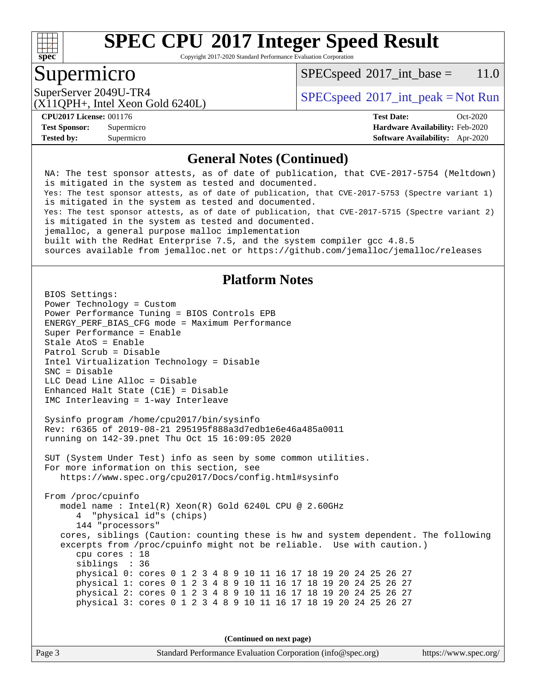

Copyright 2017-2020 Standard Performance Evaluation Corporation

### Supermicro

 $SPECspeed^{\circ}2017\_int\_base = 11.0$  $SPECspeed^{\circ}2017\_int\_base = 11.0$ 

(X11QPH+, Intel Xeon Gold 6240L)

SuperServer 2049U-TR4  $SPEC speed^{\circ}2017\_int\_peak = Not Run$ 

**[Tested by:](http://www.spec.org/auto/cpu2017/Docs/result-fields.html#Testedby)** Supermicro **[Software Availability:](http://www.spec.org/auto/cpu2017/Docs/result-fields.html#SoftwareAvailability)** Apr-2020

**[CPU2017 License:](http://www.spec.org/auto/cpu2017/Docs/result-fields.html#CPU2017License)** 001176 **[Test Date:](http://www.spec.org/auto/cpu2017/Docs/result-fields.html#TestDate)** Oct-2020 **[Test Sponsor:](http://www.spec.org/auto/cpu2017/Docs/result-fields.html#TestSponsor)** Supermicro **[Hardware Availability:](http://www.spec.org/auto/cpu2017/Docs/result-fields.html#HardwareAvailability)** Feb-2020

#### **[General Notes \(Continued\)](http://www.spec.org/auto/cpu2017/Docs/result-fields.html#GeneralNotes)**

 NA: The test sponsor attests, as of date of publication, that CVE-2017-5754 (Meltdown) is mitigated in the system as tested and documented. Yes: The test sponsor attests, as of date of publication, that CVE-2017-5753 (Spectre variant 1) is mitigated in the system as tested and documented. Yes: The test sponsor attests, as of date of publication, that CVE-2017-5715 (Spectre variant 2) is mitigated in the system as tested and documented. jemalloc, a general purpose malloc implementation built with the RedHat Enterprise 7.5, and the system compiler gcc 4.8.5 sources available from jemalloc.net or<https://github.com/jemalloc/jemalloc/releases>

### **[Platform Notes](http://www.spec.org/auto/cpu2017/Docs/result-fields.html#PlatformNotes)**

 BIOS Settings: Power Technology = Custom Power Performance Tuning = BIOS Controls EPB ENERGY\_PERF\_BIAS\_CFG mode = Maximum Performance Super Performance = Enable Stale AtoS = Enable Patrol Scrub = Disable Intel Virtualization Technology = Disable SNC = Disable LLC Dead Line Alloc = Disable Enhanced Halt State (C1E) = Disable IMC Interleaving = 1-way Interleave

 Sysinfo program /home/cpu2017/bin/sysinfo Rev: r6365 of 2019-08-21 295195f888a3d7edb1e6e46a485a0011 running on 142-39.pnet Thu Oct 15 16:09:05 2020

 SUT (System Under Test) info as seen by some common utilities. For more information on this section, see <https://www.spec.org/cpu2017/Docs/config.html#sysinfo>

 From /proc/cpuinfo model name : Intel(R) Xeon(R) Gold 6240L CPU @ 2.60GHz 4 "physical id"s (chips) 144 "processors" cores, siblings (Caution: counting these is hw and system dependent. The following excerpts from /proc/cpuinfo might not be reliable. Use with caution.) cpu cores : 18 siblings : 36 physical 0: cores 0 1 2 3 4 8 9 10 11 16 17 18 19 20 24 25 26 27 physical 1: cores 0 1 2 3 4 8 9 10 11 16 17 18 19 20 24 25 26 27 physical 2: cores 0 1 2 3 4 8 9 10 11 16 17 18 19 20 24 25 26 27 physical 3: cores 0 1 2 3 4 8 9 10 11 16 17 18 19 20 24 25 26 27

**(Continued on next page)**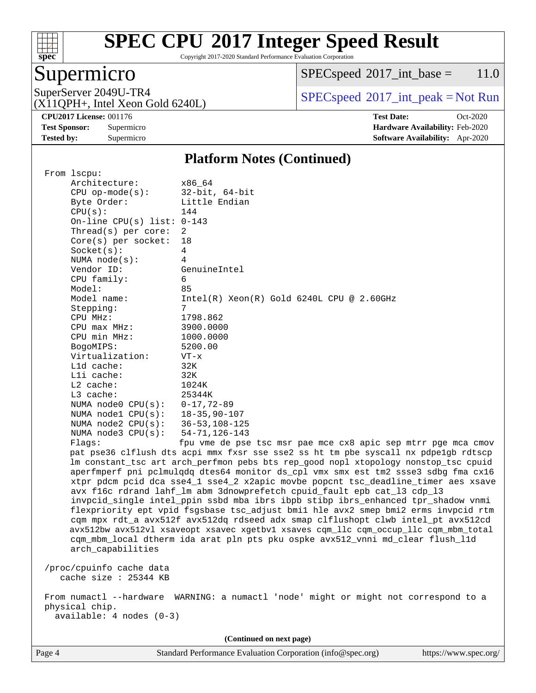

Copyright 2017-2020 Standard Performance Evaluation Corporation

### Supermicro

 $SPECspeed^{\circledcirc}2017\_int\_base = 11.0$  $SPECspeed^{\circledcirc}2017\_int\_base = 11.0$ 

(X11QPH+, Intel Xeon Gold 6240L)

SuperServer 2049U-TR4  $SPECspeed^{\circ}2017\_int\_peak = Not Run$  $SPECspeed^{\circ}2017\_int\_peak = Not Run$ 

**[Tested by:](http://www.spec.org/auto/cpu2017/Docs/result-fields.html#Testedby)** Supermicro **[Software Availability:](http://www.spec.org/auto/cpu2017/Docs/result-fields.html#SoftwareAvailability)** Apr-2020

**[CPU2017 License:](http://www.spec.org/auto/cpu2017/Docs/result-fields.html#CPU2017License)** 001176 **[Test Date:](http://www.spec.org/auto/cpu2017/Docs/result-fields.html#TestDate)** Oct-2020 **[Test Sponsor:](http://www.spec.org/auto/cpu2017/Docs/result-fields.html#TestSponsor)** Supermicro **[Hardware Availability:](http://www.spec.org/auto/cpu2017/Docs/result-fields.html#HardwareAvailability)** Feb-2020

#### **[Platform Notes \(Continued\)](http://www.spec.org/auto/cpu2017/Docs/result-fields.html#PlatformNotes)**

|                          | From 1scpu:                                       |                                                                                      |  |  |  |  |  |
|--------------------------|---------------------------------------------------|--------------------------------------------------------------------------------------|--|--|--|--|--|
|                          | Architecture:                                     | x86_64                                                                               |  |  |  |  |  |
|                          | $CPU$ op-mode( $s$ ):                             | $32$ -bit, $64$ -bit                                                                 |  |  |  |  |  |
|                          | Byte Order:                                       | Little Endian                                                                        |  |  |  |  |  |
|                          | CPU(s):                                           | 144                                                                                  |  |  |  |  |  |
|                          | On-line CPU(s) list: $0-143$                      |                                                                                      |  |  |  |  |  |
|                          | Thread(s) per core:                               | 2                                                                                    |  |  |  |  |  |
|                          | Core(s) per socket:                               | 18                                                                                   |  |  |  |  |  |
|                          | Socket(s):                                        | $\overline{4}$                                                                       |  |  |  |  |  |
|                          | NUMA $node(s)$ :                                  | 4                                                                                    |  |  |  |  |  |
|                          | Vendor ID:                                        | GenuineIntel                                                                         |  |  |  |  |  |
|                          | CPU family:                                       | 6                                                                                    |  |  |  |  |  |
|                          | Model:                                            | 85                                                                                   |  |  |  |  |  |
|                          | Model name:                                       | $Intel(R) Xeon(R) Gold 6240L CPU @ 2.60GHz$                                          |  |  |  |  |  |
|                          | Stepping:                                         | 7                                                                                    |  |  |  |  |  |
|                          | CPU MHz:                                          | 1798.862                                                                             |  |  |  |  |  |
|                          | CPU max MHz:                                      | 3900.0000                                                                            |  |  |  |  |  |
|                          | CPU min MHz:                                      | 1000.0000                                                                            |  |  |  |  |  |
|                          | BogoMIPS:                                         | 5200.00                                                                              |  |  |  |  |  |
|                          | Virtualization:                                   | $VT - x$                                                                             |  |  |  |  |  |
|                          | $L1d$ cache:                                      | 32K                                                                                  |  |  |  |  |  |
|                          | $L1i$ cache:                                      | 32K                                                                                  |  |  |  |  |  |
|                          | L2 cache:                                         | 1024K                                                                                |  |  |  |  |  |
|                          | $L3$ cache:                                       | 25344K                                                                               |  |  |  |  |  |
|                          | NUMA $node0$ $CPU(s):$                            | $0 - 17, 72 - 89$                                                                    |  |  |  |  |  |
|                          | NUMA $node1$ $CPU(s):$                            | $18 - 35, 90 - 107$                                                                  |  |  |  |  |  |
|                          | NUMA node2 CPU(s):                                | $36 - 53, 108 - 125$                                                                 |  |  |  |  |  |
|                          | NUMA $node3$ $CPU(s)$ :                           | $54 - 71, 126 - 143$                                                                 |  |  |  |  |  |
|                          | Flags:                                            | fpu vme de pse tsc msr pae mce cx8 apic sep mtrr pge mca cmov                        |  |  |  |  |  |
|                          |                                                   | pat pse36 clflush dts acpi mmx fxsr sse sse2 ss ht tm pbe syscall nx pdpelgb rdtscp  |  |  |  |  |  |
|                          |                                                   | lm constant_tsc art arch_perfmon pebs bts rep_good nopl xtopology nonstop_tsc cpuid  |  |  |  |  |  |
|                          |                                                   | aperfmperf pni pclmulqdq dtes64 monitor ds_cpl vmx smx est tm2 ssse3 sdbg fma cx16   |  |  |  |  |  |
|                          |                                                   | xtpr pdcm pcid dca sse4_1 sse4_2 x2apic movbe popcnt tsc_deadline_timer aes xsave    |  |  |  |  |  |
|                          |                                                   | avx f16c rdrand lahf_lm abm 3dnowprefetch cpuid_fault epb cat_13 cdp_13              |  |  |  |  |  |
|                          |                                                   | invpcid_single intel_ppin ssbd mba ibrs ibpb stibp ibrs_enhanced tpr_shadow vnmi     |  |  |  |  |  |
|                          |                                                   | flexpriority ept vpid fsgsbase tsc_adjust bmil hle avx2 smep bmi2 erms invpcid rtm   |  |  |  |  |  |
|                          |                                                   | cqm mpx rdt_a avx512f avx512dq rdseed adx smap clflushopt clwb intel_pt avx512cd     |  |  |  |  |  |
|                          |                                                   | avx512bw avx512vl xsaveopt xsavec xgetbvl xsaves cqm_llc cqm_occup_llc cqm_mbm_total |  |  |  |  |  |
|                          |                                                   | cqm_mbm_local dtherm ida arat pln pts pku ospke avx512_vnni md_clear flush_l1d       |  |  |  |  |  |
|                          | arch_capabilities                                 |                                                                                      |  |  |  |  |  |
|                          |                                                   |                                                                                      |  |  |  |  |  |
|                          | /proc/cpuinfo cache data<br>cache size : 25344 KB |                                                                                      |  |  |  |  |  |
|                          |                                                   |                                                                                      |  |  |  |  |  |
|                          |                                                   | From numactl --hardware WARNING: a numactl 'node' might or might not correspond to a |  |  |  |  |  |
|                          | physical chip.                                    |                                                                                      |  |  |  |  |  |
|                          | $available: 4 nodes (0-3)$                        |                                                                                      |  |  |  |  |  |
|                          |                                                   |                                                                                      |  |  |  |  |  |
| (Continued on next page) |                                                   |                                                                                      |  |  |  |  |  |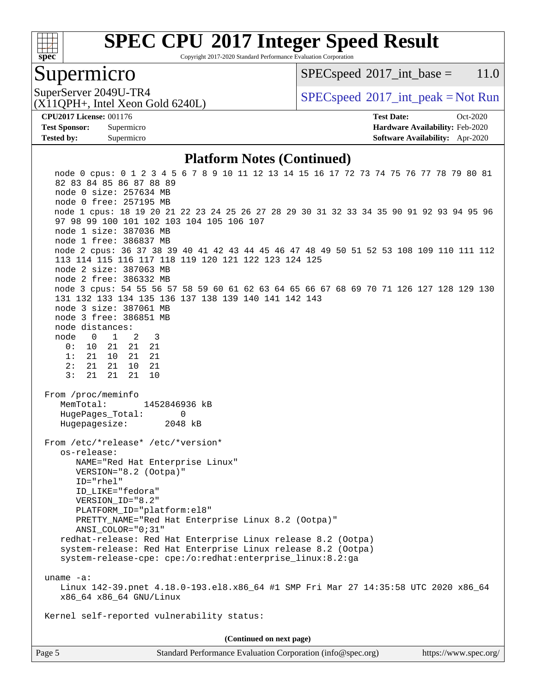

Copyright 2017-2020 Standard Performance Evaluation Corporation

### Supermicro

 $SPECspeed^{\circ}2017\_int\_base = 11.0$  $SPECspeed^{\circ}2017\_int\_base = 11.0$ 

(X11QPH+, Intel Xeon Gold 6240L)

SuperServer 2049U-TR4  $SPEC speed^{\circ}2017\_int\_peak = Not Run$ 

**[Tested by:](http://www.spec.org/auto/cpu2017/Docs/result-fields.html#Testedby)** Supermicro **[Software Availability:](http://www.spec.org/auto/cpu2017/Docs/result-fields.html#SoftwareAvailability)** Apr-2020

**[CPU2017 License:](http://www.spec.org/auto/cpu2017/Docs/result-fields.html#CPU2017License)** 001176 **[Test Date:](http://www.spec.org/auto/cpu2017/Docs/result-fields.html#TestDate)** Oct-2020 **[Test Sponsor:](http://www.spec.org/auto/cpu2017/Docs/result-fields.html#TestSponsor)** Supermicro **[Hardware Availability:](http://www.spec.org/auto/cpu2017/Docs/result-fields.html#HardwareAvailability)** Feb-2020

#### **[Platform Notes \(Continued\)](http://www.spec.org/auto/cpu2017/Docs/result-fields.html#PlatformNotes)**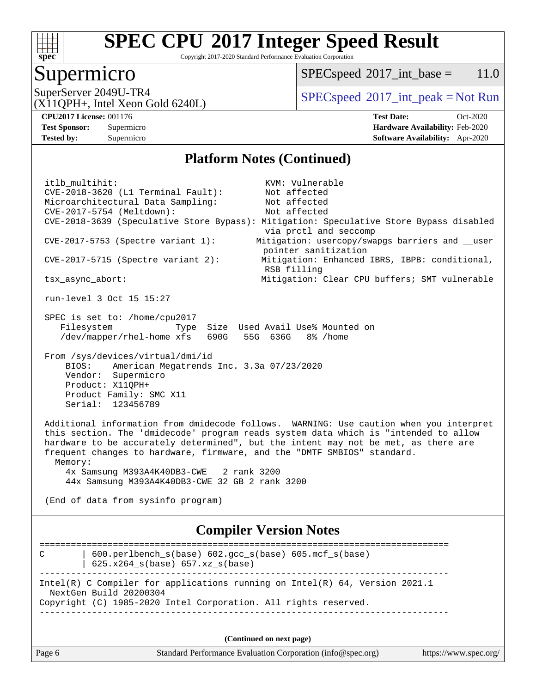

Copyright 2017-2020 Standard Performance Evaluation Corporation

### Supermicro

 $SPECspeed^{\circ}2017\_int\_base = 11.0$  $SPECspeed^{\circ}2017\_int\_base = 11.0$ 

SuperServer 2049U-TR4  $SPEC speed^{\circ}2017\_int\_peak = Not Run$ 

(X11QPH+, Intel Xeon Gold 6240L)

**[Tested by:](http://www.spec.org/auto/cpu2017/Docs/result-fields.html#Testedby)** Supermicro **[Software Availability:](http://www.spec.org/auto/cpu2017/Docs/result-fields.html#SoftwareAvailability)** Apr-2020

**[CPU2017 License:](http://www.spec.org/auto/cpu2017/Docs/result-fields.html#CPU2017License)** 001176 **[Test Date:](http://www.spec.org/auto/cpu2017/Docs/result-fields.html#TestDate)** Oct-2020 **[Test Sponsor:](http://www.spec.org/auto/cpu2017/Docs/result-fields.html#TestSponsor)** Supermicro **[Hardware Availability:](http://www.spec.org/auto/cpu2017/Docs/result-fields.html#HardwareAvailability)** Feb-2020

### **[Platform Notes \(Continued\)](http://www.spec.org/auto/cpu2017/Docs/result-fields.html#PlatformNotes)**

 itlb\_multihit: KVM: Vulnerable CVE-2018-3620 (L1 Terminal Fault): Not affected Microarchitectural Data Sampling: Not affected CVE-2017-5754 (Meltdown): Not affected CVE-2018-3639 (Speculative Store Bypass): Mitigation: Speculative Store Bypass disabled via prctl and seccomp CVE-2017-5753 (Spectre variant 1): Mitigation: usercopy/swapgs barriers and \_\_user pointer sanitization CVE-2017-5715 (Spectre variant 2): Mitigation: Enhanced IBRS, IBPB: conditional, RSB filling tsx async abort:  $Mi$  Mitigation: Clear CPU buffers; SMT vulnerable run-level 3 Oct 15 15:27 SPEC is set to: /home/cpu2017 Filesystem Type Size Used Avail Use% Mounted on /dev/mapper/rhel-home xfs 690G 55G 636G 8% /home From /sys/devices/virtual/dmi/id BIOS: American Megatrends Inc. 3.3a 07/23/2020 Vendor: Supermicro Product: X11QPH+ Product Family: SMC X11 Serial: 123456789 Additional information from dmidecode follows. WARNING: Use caution when you interpret this section. The 'dmidecode' program reads system data which is "intended to allow hardware to be accurately determined", but the intent may not be met, as there are frequent changes to hardware, firmware, and the "DMTF SMBIOS" standard. Memory: 4x Samsung M393A4K40DB3-CWE 2 rank 3200 44x Samsung M393A4K40DB3-CWE 32 GB 2 rank 3200 (End of data from sysinfo program) **[Compiler Version Notes](http://www.spec.org/auto/cpu2017/Docs/result-fields.html#CompilerVersionNotes)** ============================================================================== C | 600.perlbench\_s(base) 602.gcc\_s(base) 605.mcf\_s(base) | 625.x264\_s(base) 657.xz\_s(base) ------------------------------------------------------------------------------ Intel(R) C Compiler for applications running on Intel(R) 64, Version 2021.1 NextGen Build 20200304 Copyright (C) 1985-2020 Intel Corporation. All rights reserved. ------------------------------------------------------------------------------

**(Continued on next page)**

| Page<br>Standard Performance Evaluation Corporation (info@spec.org) | https://www.spec.org/ |  |
|---------------------------------------------------------------------|-----------------------|--|
|---------------------------------------------------------------------|-----------------------|--|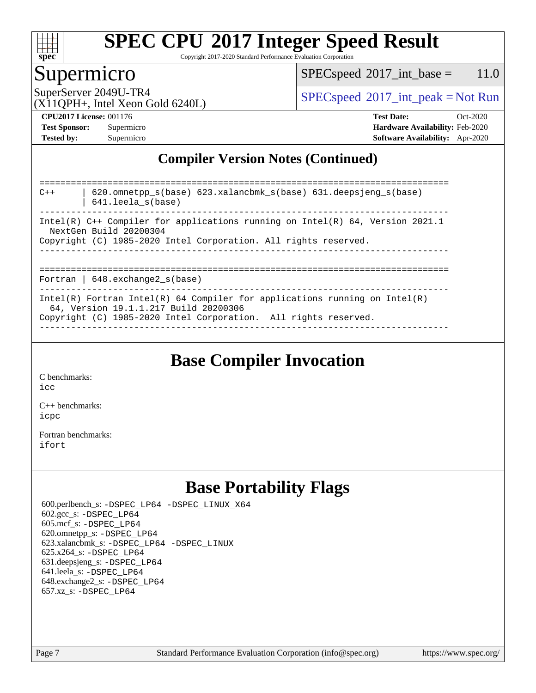

Copyright 2017-2020 Standard Performance Evaluation Corporation

### Supermicro

 $SPECspeed^{\circ}2017\_int\_base = 11.0$  $SPECspeed^{\circ}2017\_int\_base = 11.0$ 

SuperServer 2049U-TR4  $SPEC speed^{\circ}2017\_int\_peak = Not Run$ 

### (X11QPH+, Intel Xeon Gold 6240L)

**[Tested by:](http://www.spec.org/auto/cpu2017/Docs/result-fields.html#Testedby)** Supermicro **[Software Availability:](http://www.spec.org/auto/cpu2017/Docs/result-fields.html#SoftwareAvailability)** Apr-2020

**[CPU2017 License:](http://www.spec.org/auto/cpu2017/Docs/result-fields.html#CPU2017License)** 001176 **[Test Date:](http://www.spec.org/auto/cpu2017/Docs/result-fields.html#TestDate)** Oct-2020 **[Test Sponsor:](http://www.spec.org/auto/cpu2017/Docs/result-fields.html#TestSponsor)** Supermicro **[Hardware Availability:](http://www.spec.org/auto/cpu2017/Docs/result-fields.html#HardwareAvailability)** Feb-2020

### **[Compiler Version Notes \(Continued\)](http://www.spec.org/auto/cpu2017/Docs/result-fields.html#CompilerVersionNotes)**

============================================================================== C++ | 620.omnetpp\_s(base) 623.xalancbmk\_s(base) 631.deepsjeng\_s(base) | 641.leela\_s(base) Intel(R) C++ Compiler for applications running on Intel(R) 64, Version 2021.1 NextGen Build 20200304 Copyright (C) 1985-2020 Intel Corporation. All rights reserved. ------------------------------------------------------------------------------ ============================================================================== Fortran | 648.exchange2\_s(base) ------------------------------------------------------------------------------ Intel(R) Fortran Intel(R) 64 Compiler for applications running on Intel(R) 64, Version 19.1.1.217 Build 20200306 Copyright (C) 1985-2020 Intel Corporation. All rights reserved. ------------------------------------------------------------------------------

### **[Base Compiler Invocation](http://www.spec.org/auto/cpu2017/Docs/result-fields.html#BaseCompilerInvocation)**

[C benchmarks](http://www.spec.org/auto/cpu2017/Docs/result-fields.html#Cbenchmarks):  $i$ cc

[C++ benchmarks:](http://www.spec.org/auto/cpu2017/Docs/result-fields.html#CXXbenchmarks) [icpc](http://www.spec.org/cpu2017/results/res2020q4/cpu2017-20201021-24231.flags.html#user_CXXbase_intel_icpc_c510b6838c7f56d33e37e94d029a35b4a7bccf4766a728ee175e80a419847e808290a9b78be685c44ab727ea267ec2f070ec5dc83b407c0218cded6866a35d07)

[Fortran benchmarks](http://www.spec.org/auto/cpu2017/Docs/result-fields.html#Fortranbenchmarks): [ifort](http://www.spec.org/cpu2017/results/res2020q4/cpu2017-20201021-24231.flags.html#user_FCbase_intel_ifort_8111460550e3ca792625aed983ce982f94888b8b503583aa7ba2b8303487b4d8a21a13e7191a45c5fd58ff318f48f9492884d4413fa793fd88dd292cad7027ca)

### **[Base Portability Flags](http://www.spec.org/auto/cpu2017/Docs/result-fields.html#BasePortabilityFlags)**

 600.perlbench\_s: [-DSPEC\\_LP64](http://www.spec.org/cpu2017/results/res2020q4/cpu2017-20201021-24231.flags.html#b600.perlbench_s_basePORTABILITY_DSPEC_LP64) [-DSPEC\\_LINUX\\_X64](http://www.spec.org/cpu2017/results/res2020q4/cpu2017-20201021-24231.flags.html#b600.perlbench_s_baseCPORTABILITY_DSPEC_LINUX_X64) 602.gcc\_s: [-DSPEC\\_LP64](http://www.spec.org/cpu2017/results/res2020q4/cpu2017-20201021-24231.flags.html#suite_basePORTABILITY602_gcc_s_DSPEC_LP64) 605.mcf\_s: [-DSPEC\\_LP64](http://www.spec.org/cpu2017/results/res2020q4/cpu2017-20201021-24231.flags.html#suite_basePORTABILITY605_mcf_s_DSPEC_LP64) 620.omnetpp\_s: [-DSPEC\\_LP64](http://www.spec.org/cpu2017/results/res2020q4/cpu2017-20201021-24231.flags.html#suite_basePORTABILITY620_omnetpp_s_DSPEC_LP64) 623.xalancbmk\_s: [-DSPEC\\_LP64](http://www.spec.org/cpu2017/results/res2020q4/cpu2017-20201021-24231.flags.html#suite_basePORTABILITY623_xalancbmk_s_DSPEC_LP64) [-DSPEC\\_LINUX](http://www.spec.org/cpu2017/results/res2020q4/cpu2017-20201021-24231.flags.html#b623.xalancbmk_s_baseCXXPORTABILITY_DSPEC_LINUX) 625.x264\_s: [-DSPEC\\_LP64](http://www.spec.org/cpu2017/results/res2020q4/cpu2017-20201021-24231.flags.html#suite_basePORTABILITY625_x264_s_DSPEC_LP64) 631.deepsjeng\_s: [-DSPEC\\_LP64](http://www.spec.org/cpu2017/results/res2020q4/cpu2017-20201021-24231.flags.html#suite_basePORTABILITY631_deepsjeng_s_DSPEC_LP64) 641.leela\_s: [-DSPEC\\_LP64](http://www.spec.org/cpu2017/results/res2020q4/cpu2017-20201021-24231.flags.html#suite_basePORTABILITY641_leela_s_DSPEC_LP64) 648.exchange2\_s: [-DSPEC\\_LP64](http://www.spec.org/cpu2017/results/res2020q4/cpu2017-20201021-24231.flags.html#suite_basePORTABILITY648_exchange2_s_DSPEC_LP64) 657.xz\_s: [-DSPEC\\_LP64](http://www.spec.org/cpu2017/results/res2020q4/cpu2017-20201021-24231.flags.html#suite_basePORTABILITY657_xz_s_DSPEC_LP64)